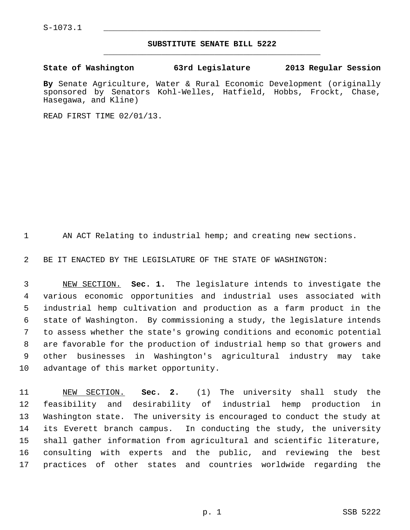$S-1073.1$ 

## **SUBSTITUTE SENATE BILL 5222** \_\_\_\_\_\_\_\_\_\_\_\_\_\_\_\_\_\_\_\_\_\_\_\_\_\_\_\_\_\_\_\_\_\_\_\_\_\_\_\_\_\_\_\_\_

**State of Washington 63rd Legislature 2013 Regular Session**

**By** Senate Agriculture, Water & Rural Economic Development (originally sponsored by Senators Kohl-Welles, Hatfield, Hobbs, Frockt, Chase, Hasegawa, and Kline)

READ FIRST TIME 02/01/13.

1 AN ACT Relating to industrial hemp; and creating new sections.

2 BE IT ENACTED BY THE LEGISLATURE OF THE STATE OF WASHINGTON:

 3 NEW SECTION. **Sec. 1.** The legislature intends to investigate the 4 various economic opportunities and industrial uses associated with 5 industrial hemp cultivation and production as a farm product in the 6 state of Washington. By commissioning a study, the legislature intends 7 to assess whether the state's growing conditions and economic potential 8 are favorable for the production of industrial hemp so that growers and 9 other businesses in Washington's agricultural industry may take 10 advantage of this market opportunity.

11 NEW SECTION. **Sec. 2.** (1) The university shall study the 12 feasibility and desirability of industrial hemp production in 13 Washington state. The university is encouraged to conduct the study at 14 its Everett branch campus. In conducting the study, the university 15 shall gather information from agricultural and scientific literature, 16 consulting with experts and the public, and reviewing the best 17 practices of other states and countries worldwide regarding the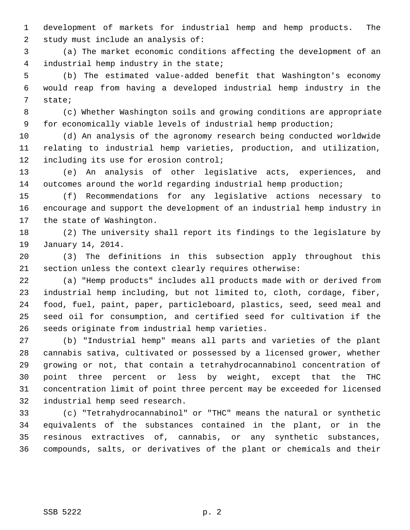1 development of markets for industrial hemp and hemp products. The 2 study must include an analysis of:

 3 (a) The market economic conditions affecting the development of an 4 industrial hemp industry in the state;

 5 (b) The estimated value-added benefit that Washington's economy 6 would reap from having a developed industrial hemp industry in the 7 state;

 8 (c) Whether Washington soils and growing conditions are appropriate 9 for economically viable levels of industrial hemp production;

10 (d) An analysis of the agronomy research being conducted worldwide 11 relating to industrial hemp varieties, production, and utilization, 12 including its use for erosion control;

13 (e) An analysis of other legislative acts, experiences, and 14 outcomes around the world regarding industrial hemp production;

15 (f) Recommendations for any legislative actions necessary to 16 encourage and support the development of an industrial hemp industry in 17 the state of Washington.

18 (2) The university shall report its findings to the legislature by 19 January 14, 2014.

20 (3) The definitions in this subsection apply throughout this 21 section unless the context clearly requires otherwise:

22 (a) "Hemp products" includes all products made with or derived from 23 industrial hemp including, but not limited to, cloth, cordage, fiber, 24 food, fuel, paint, paper, particleboard, plastics, seed, seed meal and 25 seed oil for consumption, and certified seed for cultivation if the 26 seeds originate from industrial hemp varieties.

27 (b) "Industrial hemp" means all parts and varieties of the plant 28 cannabis sativa, cultivated or possessed by a licensed grower, whether 29 growing or not, that contain a tetrahydrocannabinol concentration of 30 point three percent or less by weight, except that the THC 31 concentration limit of point three percent may be exceeded for licensed 32 industrial hemp seed research.

33 (c) "Tetrahydrocannabinol" or "THC" means the natural or synthetic 34 equivalents of the substances contained in the plant, or in the 35 resinous extractives of, cannabis, or any synthetic substances, 36 compounds, salts, or derivatives of the plant or chemicals and their